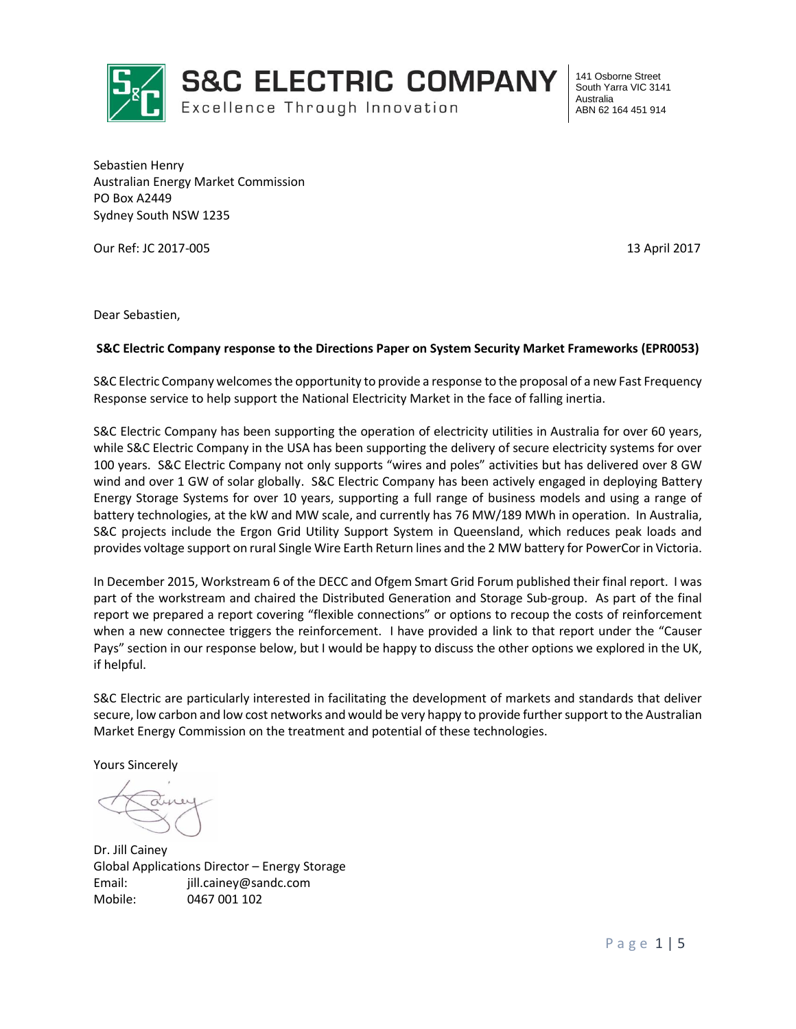

**S&C ELECTRIC COMPANY** 

Excellence Through Innovation

141 Osborne Street South Yarra VIC 3141 Australia ABN 62 164 451 914

Sebastien Henry Australian Energy Market Commission PO Box A2449 Sydney South NSW 1235

Our Ref: JC 2017-005 13 April 2017

Dear Sebastien,

#### **S&C Electric Company response to the Directions Paper on System Security Market Frameworks (EPR0053)**

S&C Electric Company welcomes the opportunity to provide a response to the proposal of a new Fast Frequency Response service to help support the National Electricity Market in the face of falling inertia.

S&C Electric Company has been supporting the operation of electricity utilities in Australia for over 60 years, while S&C Electric Company in the USA has been supporting the delivery of secure electricity systems for over 100 years. S&C Electric Company not only supports "wires and poles" activities but has delivered over 8 GW wind and over 1 GW of solar globally. S&C Electric Company has been actively engaged in deploying Battery Energy Storage Systems for over 10 years, supporting a full range of business models and using a range of battery technologies, at the kW and MW scale, and currently has 76 MW/189 MWh in operation. In Australia, S&C projects include the Ergon Grid Utility Support System in Queensland, which reduces peak loads and provides voltage support on rural Single Wire Earth Return lines and the 2 MW battery for PowerCor in Victoria.

In December 2015, Workstream 6 of the DECC and Ofgem Smart Grid Forum published their final report. I was part of the workstream and chaired the Distributed Generation and Storage Sub-group. As part of the final report we prepared a report covering "flexible connections" or options to recoup the costs of reinforcement when a new connectee triggers the reinforcement. I have provided a link to that report under the "Causer Pays" section in our response below, but I would be happy to discuss the other options we explored in the UK, if helpful.

S&C Electric are particularly interested in facilitating the development of markets and standards that deliver secure, low carbon and low cost networks and would be very happy to provide further support to the Australian Market Energy Commission on the treatment and potential of these technologies.

Yours Sincerely

Dr. Jill Cainey Global Applications Director – Energy Storage Email: jill.cainey@sandc.com Mobile: 0467 001 102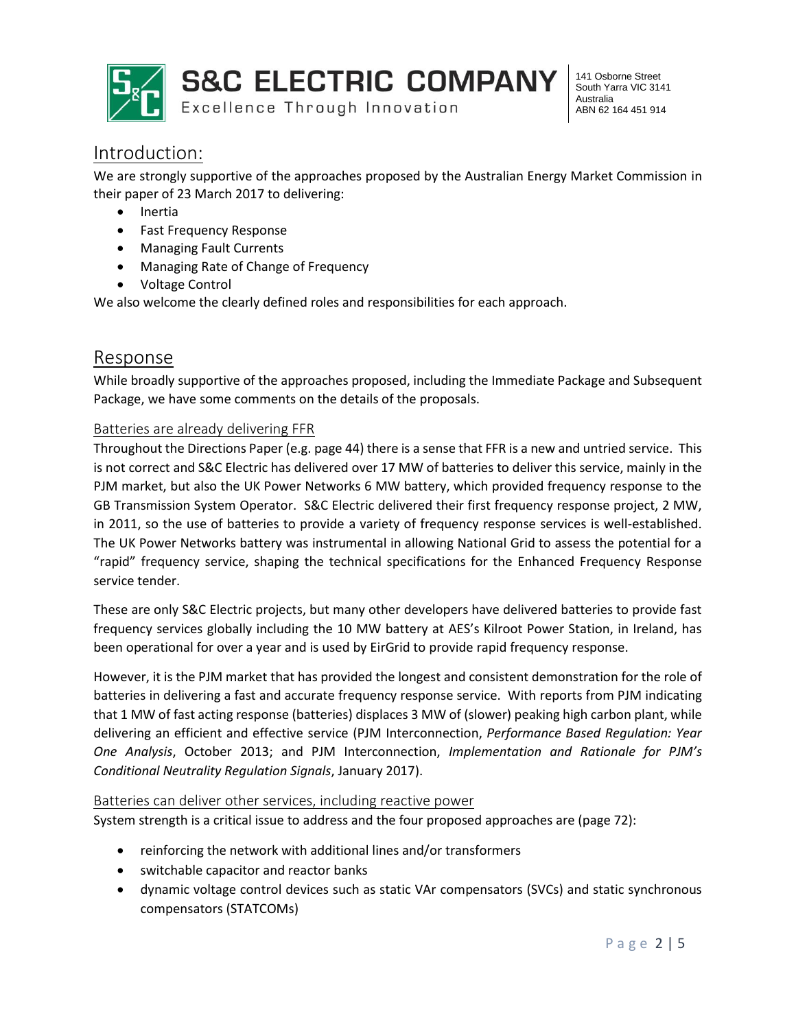

**S&C ELECTRIC COMPANY** 

Excellence Through Innovation

141 Osborne Street South Yarra VIC 3141 Australia ABN 62 164 451 914

### Introduction:

We are strongly supportive of the approaches proposed by the Australian Energy Market Commission in their paper of 23 March 2017 to delivering:

- Inertia
- Fast Frequency Response
- Managing Fault Currents
- Managing Rate of Change of Frequency
- Voltage Control

We also welcome the clearly defined roles and responsibilities for each approach.

### Response

While broadly supportive of the approaches proposed, including the Immediate Package and Subsequent Package, we have some comments on the details of the proposals.

#### Batteries are already delivering FFR

Throughout the Directions Paper (e.g. page 44) there is a sense that FFR is a new and untried service. This is not correct and S&C Electric has delivered over 17 MW of batteries to deliver this service, mainly in the PJM market, but also the UK Power Networks 6 MW battery, which provided frequency response to the GB Transmission System Operator. S&C Electric delivered their first frequency response project, 2 MW, in 2011, so the use of batteries to provide a variety of frequency response services is well-established. The UK Power Networks battery was instrumental in allowing National Grid to assess the potential for a "rapid" frequency service, shaping the technical specifications for the Enhanced Frequency Response service tender.

These are only S&C Electric projects, but many other developers have delivered batteries to provide fast frequency services globally including the 10 MW battery at AES's Kilroot Power Station, in Ireland, has been operational for over a year and is used by EirGrid to provide rapid frequency response.

However, it is the PJM market that has provided the longest and consistent demonstration for the role of batteries in delivering a fast and accurate frequency response service. With reports from PJM indicating that 1 MW of fast acting response (batteries) displaces 3 MW of (slower) peaking high carbon plant, while delivering an efficient and effective service (PJM Interconnection, *Performance Based Regulation: Year One Analysis*, October 2013; and PJM Interconnection, *Implementation and Rationale for PJM's Conditional Neutrality Regulation Signals*, January 2017).

#### Batteries can deliver other services, including reactive power

System strength is a critical issue to address and the four proposed approaches are (page 72):

- reinforcing the network with additional lines and/or transformers
- switchable capacitor and reactor banks
- dynamic voltage control devices such as static VAr compensators (SVCs) and static synchronous compensators (STATCOMs)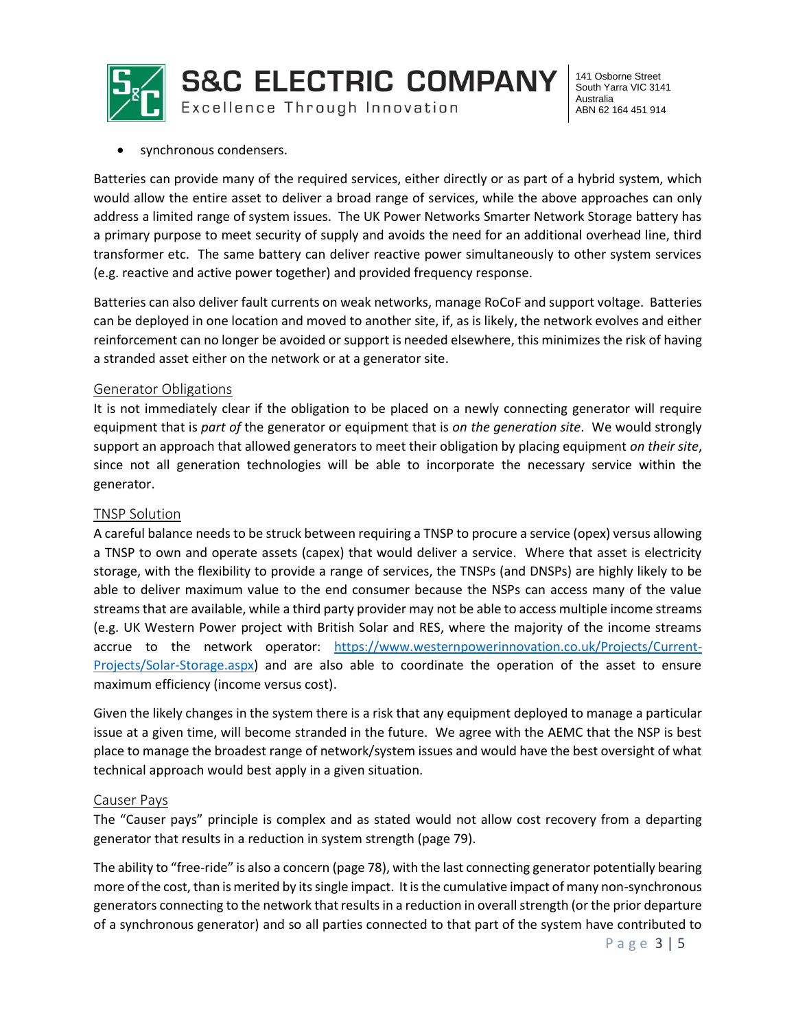

141 Osborne Street South Yarra VIC 3141 Australia ABN 62 164 451 914

synchronous condensers.

Batteries can provide many of the required services, either directly or as part of a hybrid system, which would allow the entire asset to deliver a broad range of services, while the above approaches can only address a limited range of system issues. The UK Power Networks Smarter Network Storage battery has a primary purpose to meet security of supply and avoids the need for an additional overhead line, third transformer etc. The same battery can deliver reactive power simultaneously to other system services (e.g. reactive and active power together) and provided frequency response.

Batteries can also deliver fault currents on weak networks, manage RoCoF and support voltage. Batteries can be deployed in one location and moved to another site, if, as is likely, the network evolves and either reinforcement can no longer be avoided or support is needed elsewhere, this minimizes the risk of having a stranded asset either on the network or at a generator site.

#### Generator Obligations

It is not immediately clear if the obligation to be placed on a newly connecting generator will require equipment that is *part of* the generator or equipment that is *on the generation site*. We would strongly support an approach that allowed generators to meet their obligation by placing equipment *on their site*, since not all generation technologies will be able to incorporate the necessary service within the generator.

#### TNSP Solution

A careful balance needs to be struck between requiring a TNSP to procure a service (opex) versus allowing a TNSP to own and operate assets (capex) that would deliver a service. Where that asset is electricity storage, with the flexibility to provide a range of services, the TNSPs (and DNSPs) are highly likely to be able to deliver maximum value to the end consumer because the NSPs can access many of the value streams that are available, while a third party provider may not be able to access multiple income streams (e.g. UK Western Power project with British Solar and RES, where the majority of the income streams accrue to the network operator: [https://www.westernpowerinnovation.co.uk/Projects/Current-](https://www.westernpowerinnovation.co.uk/Projects/Current-Projects/Solar-Storage.aspx)[Projects/Solar-Storage.aspx\)](https://www.westernpowerinnovation.co.uk/Projects/Current-Projects/Solar-Storage.aspx) and are also able to coordinate the operation of the asset to ensure maximum efficiency (income versus cost).

Given the likely changes in the system there is a risk that any equipment deployed to manage a particular issue at a given time, will become stranded in the future. We agree with the AEMC that the NSP is best place to manage the broadest range of network/system issues and would have the best oversight of what technical approach would best apply in a given situation.

#### Causer Pays

The "Causer pays" principle is complex and as stated would not allow cost recovery from a departing generator that results in a reduction in system strength (page 79).

The ability to "free-ride" is also a concern (page 78), with the last connecting generator potentially bearing more of the cost, than is merited by its single impact. It is the cumulative impact of many non-synchronous generators connecting to the network that results in a reduction in overall strength (or the prior departure of a synchronous generator) and so all parties connected to that part of the system have contributed to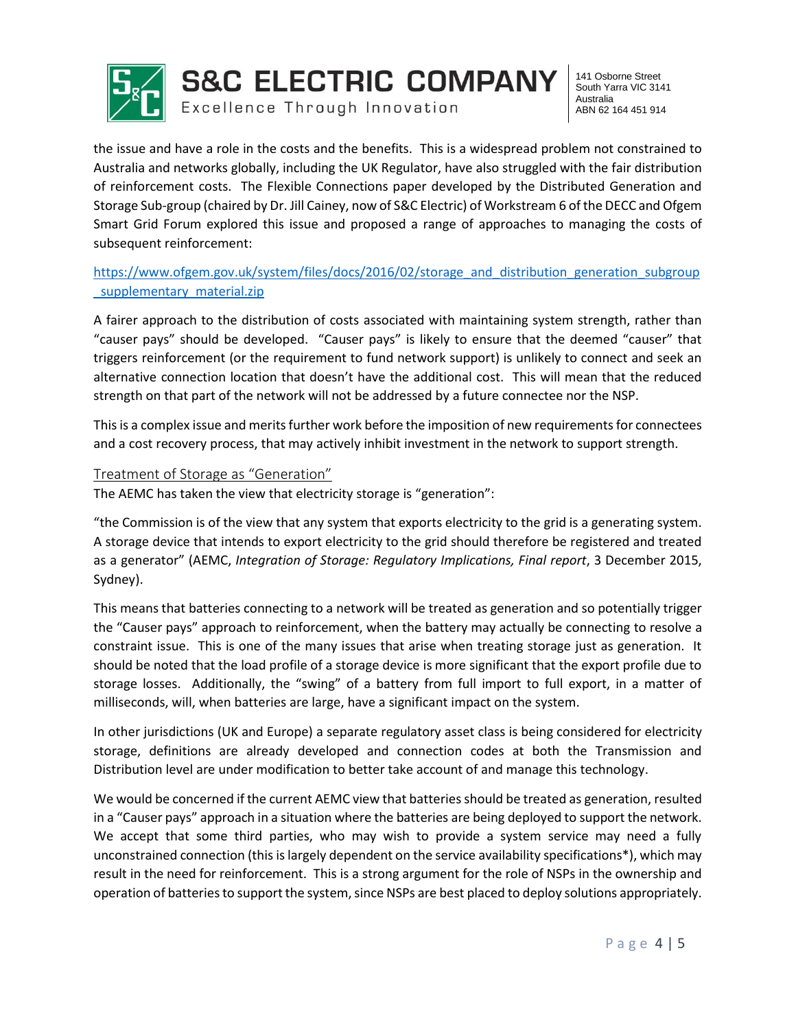

141 Osborne Street South Yarra VIC 3141 Australia ABN 62 164 451 914

the issue and have a role in the costs and the benefits. This is a widespread problem not constrained to Australia and networks globally, including the UK Regulator, have also struggled with the fair distribution of reinforcement costs. The Flexible Connections paper developed by the Distributed Generation and Storage Sub-group (chaired by Dr. Jill Cainey, now of S&C Electric) of Workstream 6 of the DECC and Ofgem Smart Grid Forum explored this issue and proposed a range of approaches to managing the costs of subsequent reinforcement:

[https://www.ofgem.gov.uk/system/files/docs/2016/02/storage\\_and\\_distribution\\_generation\\_subgroup](https://www.ofgem.gov.uk/system/files/docs/2016/02/storage_and_distribution_generation_subgroup_supplementary_material.zip) supplementary material.zip

A fairer approach to the distribution of costs associated with maintaining system strength, rather than "causer pays" should be developed. "Causer pays" is likely to ensure that the deemed "causer" that triggers reinforcement (or the requirement to fund network support) is unlikely to connect and seek an alternative connection location that doesn't have the additional cost. This will mean that the reduced strength on that part of the network will not be addressed by a future connectee nor the NSP.

This is a complex issue and merits further work before the imposition of new requirements for connectees and a cost recovery process, that may actively inhibit investment in the network to support strength.

#### Treatment of Storage as "Generation"

The AEMC has taken the view that electricity storage is "generation":

"the Commission is of the view that any system that exports electricity to the grid is a generating system. A storage device that intends to export electricity to the grid should therefore be registered and treated as a generator" (AEMC, *Integration of Storage: Regulatory Implications, Final report*, 3 December 2015, Sydney).

This means that batteries connecting to a network will be treated as generation and so potentially trigger the "Causer pays" approach to reinforcement, when the battery may actually be connecting to resolve a constraint issue. This is one of the many issues that arise when treating storage just as generation. It should be noted that the load profile of a storage device is more significant that the export profile due to storage losses. Additionally, the "swing" of a battery from full import to full export, in a matter of milliseconds, will, when batteries are large, have a significant impact on the system.

In other jurisdictions (UK and Europe) a separate regulatory asset class is being considered for electricity storage, definitions are already developed and connection codes at both the Transmission and Distribution level are under modification to better take account of and manage this technology.

We would be concerned if the current AEMC view that batteries should be treated as generation, resulted in a "Causer pays" approach in a situation where the batteries are being deployed to support the network. We accept that some third parties, who may wish to provide a system service may need a fully unconstrained connection (this is largely dependent on the service availability specifications\*), which may result in the need for reinforcement. This is a strong argument for the role of NSPs in the ownership and operation of batteries to support the system, since NSPs are best placed to deploy solutions appropriately.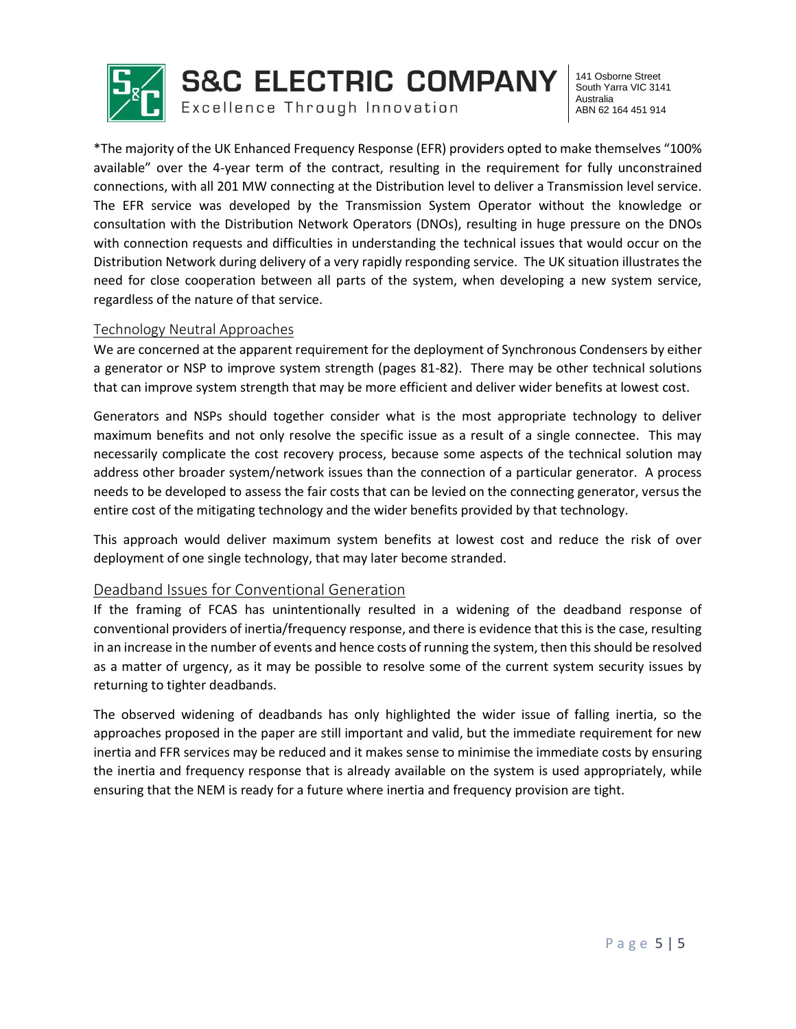

**S&C ELECTRIC COMPANY** 

Excellence Through Innovation

141 Osborne Street South Yarra VIC 3141 Australia ABN 62 164 451 914

\*The majority of the UK Enhanced Frequency Response (EFR) providers opted to make themselves "100% available" over the 4-year term of the contract, resulting in the requirement for fully unconstrained connections, with all 201 MW connecting at the Distribution level to deliver a Transmission level service. The EFR service was developed by the Transmission System Operator without the knowledge or consultation with the Distribution Network Operators (DNOs), resulting in huge pressure on the DNOs with connection requests and difficulties in understanding the technical issues that would occur on the Distribution Network during delivery of a very rapidly responding service. The UK situation illustrates the need for close cooperation between all parts of the system, when developing a new system service, regardless of the nature of that service.

#### Technology Neutral Approaches

We are concerned at the apparent requirement for the deployment of Synchronous Condensers by either a generator or NSP to improve system strength (pages 81-82). There may be other technical solutions that can improve system strength that may be more efficient and deliver wider benefits at lowest cost.

Generators and NSPs should together consider what is the most appropriate technology to deliver maximum benefits and not only resolve the specific issue as a result of a single connectee. This may necessarily complicate the cost recovery process, because some aspects of the technical solution may address other broader system/network issues than the connection of a particular generator. A process needs to be developed to assess the fair costs that can be levied on the connecting generator, versus the entire cost of the mitigating technology and the wider benefits provided by that technology.

This approach would deliver maximum system benefits at lowest cost and reduce the risk of over deployment of one single technology, that may later become stranded.

#### Deadband Issues for Conventional Generation

If the framing of FCAS has unintentionally resulted in a widening of the deadband response of conventional providers of inertia/frequency response, and there is evidence that this is the case, resulting in an increase in the number of events and hence costs of running the system, then this should be resolved as a matter of urgency, as it may be possible to resolve some of the current system security issues by returning to tighter deadbands.

The observed widening of deadbands has only highlighted the wider issue of falling inertia, so the approaches proposed in the paper are still important and valid, but the immediate requirement for new inertia and FFR services may be reduced and it makes sense to minimise the immediate costs by ensuring the inertia and frequency response that is already available on the system is used appropriately, while ensuring that the NEM is ready for a future where inertia and frequency provision are tight.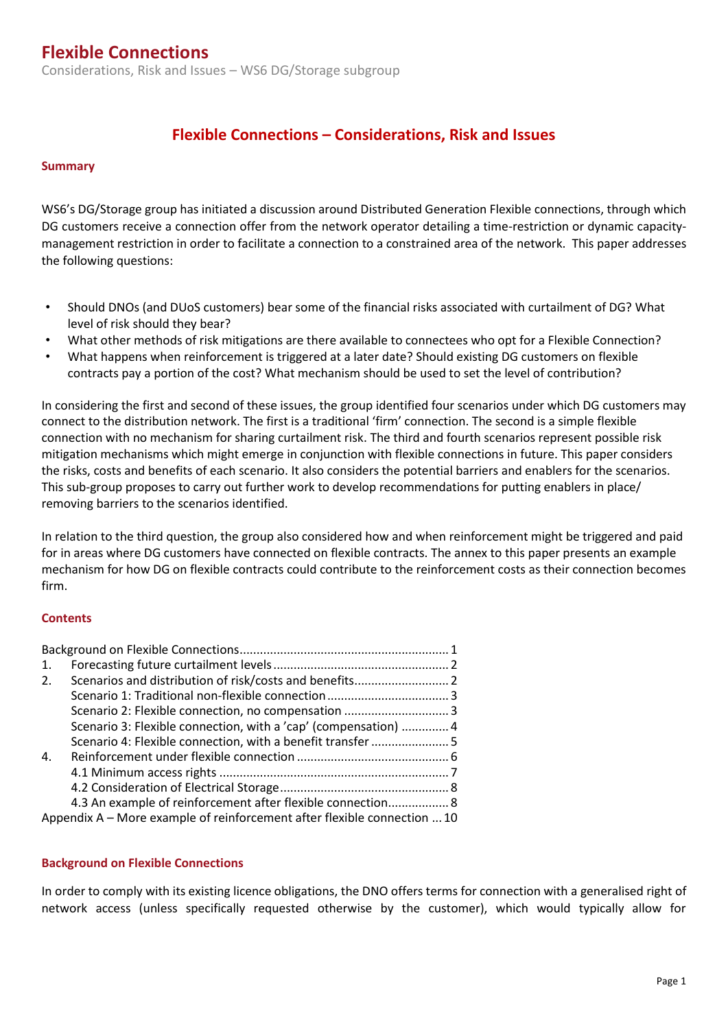Considerations, Risk and Issues – WS6 DG/Storage subgroup

### **Flexible Connections – Considerations, Risk and Issues**

#### **Summary**

WS6's DG/Storage group has initiated a discussion around Distributed Generation Flexible connections, through which DG customers receive a connection offer from the network operator detailing a time-restriction or dynamic capacitymanagement restriction in order to facilitate a connection to a constrained area of the network. This paper addresses the following questions:

- Should DNOs (and DUoS customers) bear some of the financial risks associated with curtailment of DG? What level of risk should they bear?
- What other methods of risk mitigations are there available to connectees who opt for a Flexible Connection?
- What happens when reinforcement is triggered at a later date? Should existing DG customers on flexible contracts pay a portion of the cost? What mechanism should be used to set the level of contribution?

In considering the first and second of these issues, the group identified four scenarios under which DG customers may connect to the distribution network. The first is a traditional 'firm' connection. The second is a simple flexible connection with no mechanism for sharing curtailment risk. The third and fourth scenarios represent possible risk mitigation mechanisms which might emerge in conjunction with flexible connections in future. This paper considers the risks, costs and benefits of each scenario. It also considers the potential barriers and enablers for the scenarios. This sub-group proposes to carry out further work to develop recommendations for putting enablers in place/ removing barriers to the scenarios identified.

In relation to the third question, the group also considered how and when reinforcement might be triggered and paid for in areas where DG customers have connected on flexible contracts. The annex to this paper presents an example mechanism for how DG on flexible contracts could contribute to the reinforcement costs as their connection becomes firm.

#### **Contents**

| $\mathbf{1}$ .                                                           |                                                                 |  |
|--------------------------------------------------------------------------|-----------------------------------------------------------------|--|
| 2.                                                                       |                                                                 |  |
|                                                                          |                                                                 |  |
|                                                                          |                                                                 |  |
|                                                                          | Scenario 3: Flexible connection, with a 'cap' (compensation)  4 |  |
|                                                                          |                                                                 |  |
| $\mathbf{4}$ .                                                           |                                                                 |  |
|                                                                          |                                                                 |  |
|                                                                          |                                                                 |  |
|                                                                          | 4.3 An example of reinforcement after flexible connection 8     |  |
| Appendix A – More example of reinforcement after flexible connection  10 |                                                                 |  |

#### <span id="page-5-0"></span>**Background on Flexible Connections**

In order to comply with its existing licence obligations, the DNO offers terms for connection with a generalised right of network access (unless specifically requested otherwise by the customer), which would typically allow for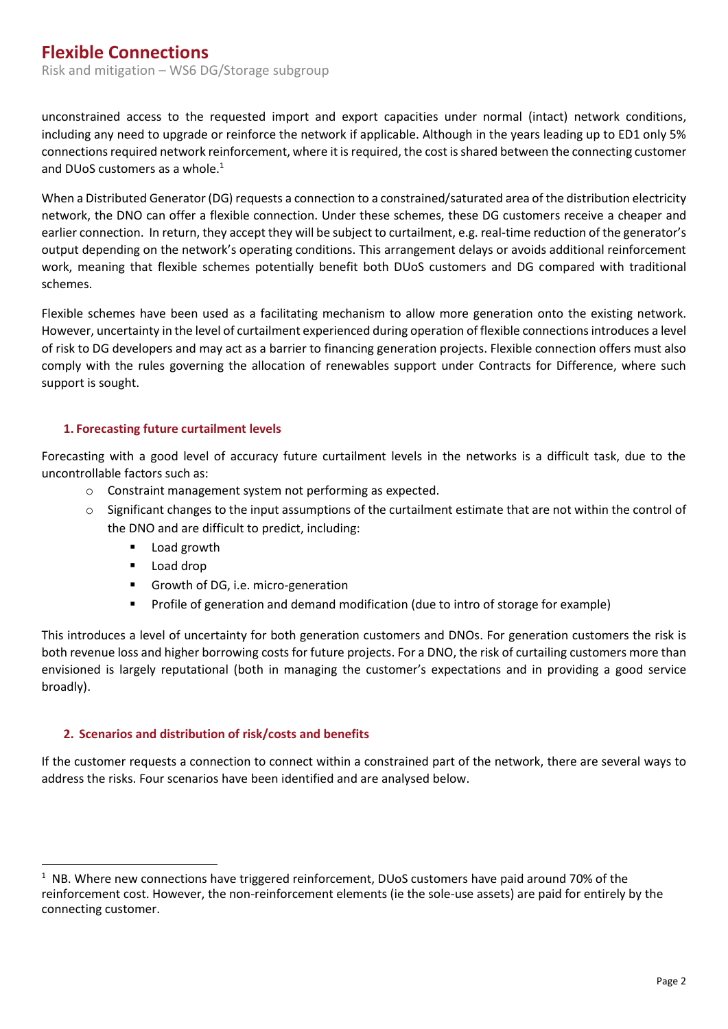unconstrained access to the requested import and export capacities under normal (intact) network conditions, including any need to upgrade or reinforce the network if applicable. Although in the years leading up to ED1 only 5% connections required network reinforcement, where it is required, the cost is shared between the connecting customer and DUoS customers as a whole. $1$ 

When a Distributed Generator (DG) requests a connection to a constrained/saturated area of the distribution electricity network, the DNO can offer a flexible connection. Under these schemes, these DG customers receive a cheaper and earlier connection. In return, they accept they will be subject to curtailment, e.g. real-time reduction of the generator's output depending on the network's operating conditions. This arrangement delays or avoids additional reinforcement work, meaning that flexible schemes potentially benefit both DUoS customers and DG compared with traditional schemes.

Flexible schemes have been used as a facilitating mechanism to allow more generation onto the existing network. However, uncertainty in the level of curtailment experienced during operation of flexible connectionsintroduces a level of risk to DG developers and may act as a barrier to financing generation projects. Flexible connection offers must also comply with the rules governing the allocation of renewables support under Contracts for Difference, where such support is sought.

#### <span id="page-6-0"></span>**1. Forecasting future curtailment levels**

Forecasting with a good level of accuracy future curtailment levels in the networks is a difficult task, due to the uncontrollable factors such as:

- o Constraint management system not performing as expected.
- $\circ$  Significant changes to the input assumptions of the curtailment estimate that are not within the control of the DNO and are difficult to predict, including:
	- **Load growth**
	- **Load drop**
	- Growth of DG, i.e. micro-generation
	- Profile of generation and demand modification (due to intro of storage for example)

This introduces a level of uncertainty for both generation customers and DNOs. For generation customers the risk is both revenue loss and higher borrowing costs for future projects. For a DNO, the risk of curtailing customers more than envisioned is largely reputational (both in managing the customer's expectations and in providing a good service broadly).

#### <span id="page-6-1"></span>**2. Scenarios and distribution of risk/costs and benefits**

If the customer requests a connection to connect within a constrained part of the network, there are several ways to address the risks. Four scenarios have been identified and are analysed below.

 $\overline{a}$ <sup>1</sup> NB. Where new connections have triggered reinforcement, DUoS customers have paid around 70% of the reinforcement cost. However, the non-reinforcement elements (ie the sole-use assets) are paid for entirely by the connecting customer.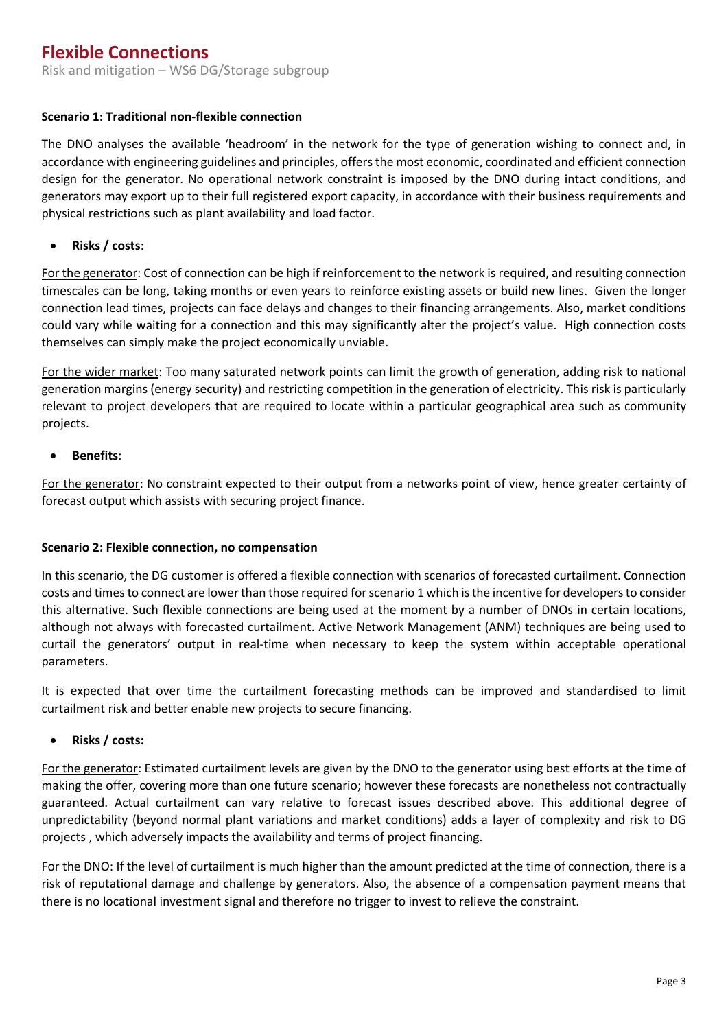#### <span id="page-7-0"></span>**Scenario 1: Traditional non-flexible connection**

The DNO analyses the available 'headroom' in the network for the type of generation wishing to connect and, in accordance with engineering guidelines and principles, offers the most economic, coordinated and efficient connection design for the generator. No operational network constraint is imposed by the DNO during intact conditions, and generators may export up to their full registered export capacity, in accordance with their business requirements and physical restrictions such as plant availability and load factor.

**Risks / costs**:

For the generator: Cost of connection can be high if reinforcement to the network is required, and resulting connection timescales can be long, taking months or even years to reinforce existing assets or build new lines. Given the longer connection lead times, projects can face delays and changes to their financing arrangements. Also, market conditions could vary while waiting for a connection and this may significantly alter the project's value. High connection costs themselves can simply make the project economically unviable.

For the wider market: Too many saturated network points can limit the growth of generation, adding risk to national generation margins (energy security) and restricting competition in the generation of electricity. This risk is particularly relevant to project developers that are required to locate within a particular geographical area such as community projects.

**Benefits**:

For the generator: No constraint expected to their output from a networks point of view, hence greater certainty of forecast output which assists with securing project finance.

#### <span id="page-7-1"></span>**Scenario 2: Flexible connection, no compensation**

In this scenario, the DG customer is offered a flexible connection with scenarios of forecasted curtailment. Connection costs and times to connect are lower than those required for scenario 1 which is the incentive for developers to consider this alternative. Such flexible connections are being used at the moment by a number of DNOs in certain locations, although not always with forecasted curtailment. Active Network Management (ANM) techniques are being used to curtail the generators' output in real-time when necessary to keep the system within acceptable operational parameters.

It is expected that over time the curtailment forecasting methods can be improved and standardised to limit curtailment risk and better enable new projects to secure financing.

**Risks / costs:** 

For the generator: Estimated curtailment levels are given by the DNO to the generator using best efforts at the time of making the offer, covering more than one future scenario; however these forecasts are nonetheless not contractually guaranteed. Actual curtailment can vary relative to forecast issues described above. This additional degree of unpredictability (beyond normal plant variations and market conditions) adds a layer of complexity and risk to DG projects , which adversely impacts the availability and terms of project financing.

For the DNO: If the level of curtailment is much higher than the amount predicted at the time of connection, there is a risk of reputational damage and challenge by generators. Also, the absence of a compensation payment means that there is no locational investment signal and therefore no trigger to invest to relieve the constraint.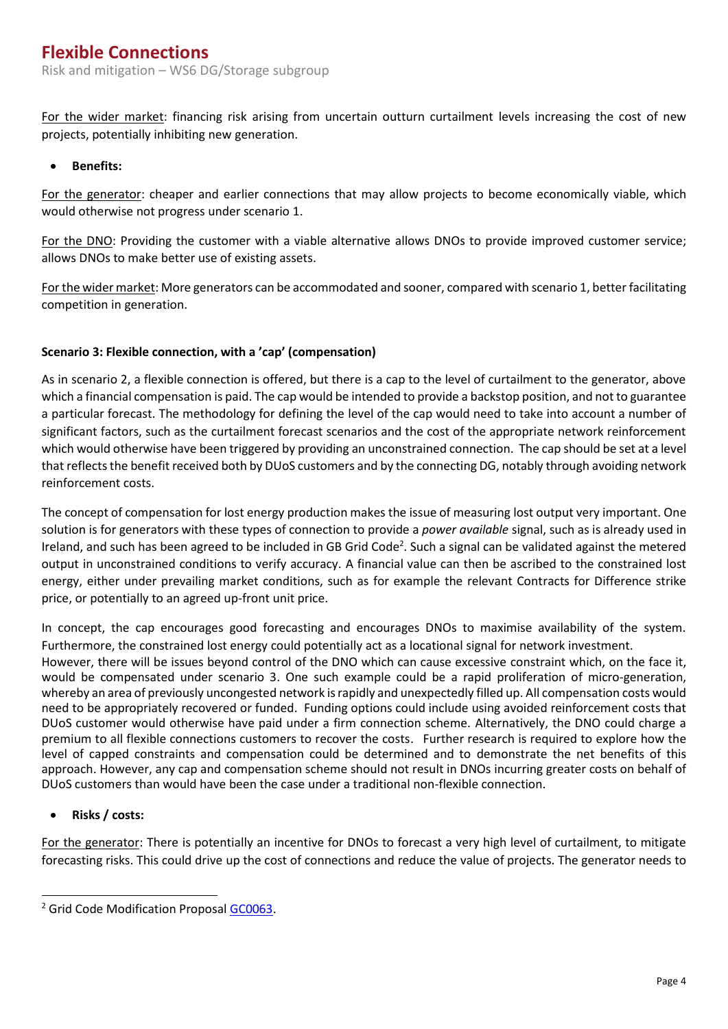For the wider market: financing risk arising from uncertain outturn curtailment levels increasing the cost of new projects, potentially inhibiting new generation.

**Benefits:**

For the generator: cheaper and earlier connections that may allow projects to become economically viable, which would otherwise not progress under scenario 1.

For the DNO: Providing the customer with a viable alternative allows DNOs to provide improved customer service; allows DNOs to make better use of existing assets.

For the wider market: More generators can be accommodated and sooner, compared with scenario 1, better facilitating competition in generation.

#### <span id="page-8-0"></span>**Scenario 3: Flexible connection, with a 'cap' (compensation)**

As in scenario 2, a flexible connection is offered, but there is a cap to the level of curtailment to the generator, above which a financial compensation is paid. The cap would be intended to provide a backstop position, and not to guarantee a particular forecast. The methodology for defining the level of the cap would need to take into account a number of significant factors, such as the curtailment forecast scenarios and the cost of the appropriate network reinforcement which would otherwise have been triggered by providing an unconstrained connection. The cap should be set at a level that reflects the benefit received both by DUoS customers and by the connecting DG, notably through avoiding network reinforcement costs.

The concept of compensation for lost energy production makes the issue of measuring lost output very important. One solution is for generators with these types of connection to provide a *power available* signal, such as is already used in Ireland, and such has been agreed to be included in GB Grid Code<sup>2</sup>. Such a signal can be validated against the metered output in unconstrained conditions to verify accuracy. A financial value can then be ascribed to the constrained lost energy, either under prevailing market conditions, such as for example the relevant Contracts for Difference strike price, or potentially to an agreed up-front unit price.

In concept, the cap encourages good forecasting and encourages DNOs to maximise availability of the system. Furthermore, the constrained lost energy could potentially act as a locational signal for network investment. However, there will be issues beyond control of the DNO which can cause excessive constraint which, on the face it, would be compensated under scenario 3. One such example could be a rapid proliferation of micro-generation, whereby an area of previously uncongested network is rapidly and unexpectedly filled up. All compensation costs would need to be appropriately recovered or funded. Funding options could include using avoided reinforcement costs that DUoS customer would otherwise have paid under a firm connection scheme. Alternatively, the DNO could charge a premium to all flexible connections customers to recover the costs. Further research is required to explore how the level of capped constraints and compensation could be determined and to demonstrate the net benefits of this approach. However, any cap and compensation scheme should not result in DNOs incurring greater costs on behalf of DUoS customers than would have been the case under a traditional non-flexible connection.

**Risks / costs:** 

For the generator: There is potentially an incentive for DNOs to forecast a very high level of curtailment, to mitigate forecasting risks. This could drive up the cost of connections and reduce the value of projects. The generator needs to

 $\overline{a}$ <sup>2</sup> Grid Code Modification Proposal [GC0063.](http://www2.nationalgrid.com/UK/Industry-information/Electricity-codes/Grid-code/Modifications/GC0063/)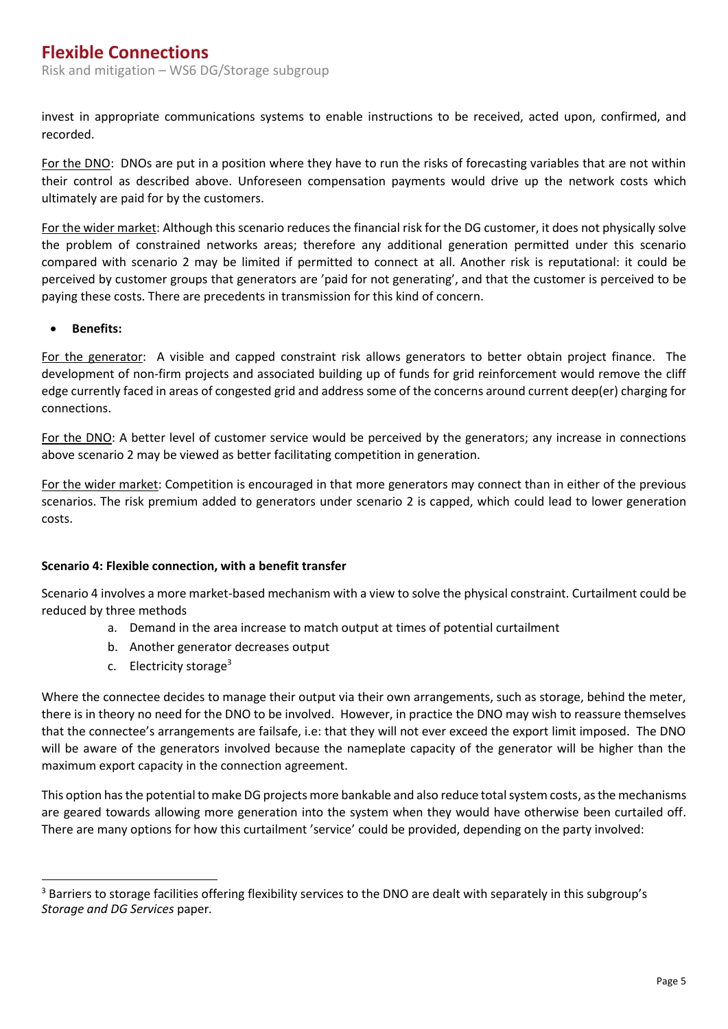invest in appropriate communications systems to enable instructions to be received, acted upon, confirmed, and recorded.

For the DNO: DNOs are put in a position where they have to run the risks of forecasting variables that are not within their control as described above. Unforeseen compensation payments would drive up the network costs which ultimately are paid for by the customers.

For the wider market: Although this scenario reduces the financial risk for the DG customer, it does not physically solve the problem of constrained networks areas; therefore any additional generation permitted under this scenario compared with scenario 2 may be limited if permitted to connect at all. Another risk is reputational: it could be perceived by customer groups that generators are 'paid for not generating', and that the customer is perceived to be paying these costs. There are precedents in transmission for this kind of concern.

#### **Benefits:**

 $\overline{a}$ 

For the generator: A visible and capped constraint risk allows generators to better obtain project finance. The development of non-firm projects and associated building up of funds for grid reinforcement would remove the cliff edge currently faced in areas of congested grid and address some of the concerns around current deep(er) charging for connections.

For the DNO: A better level of customer service would be perceived by the generators; any increase in connections above scenario 2 may be viewed as better facilitating competition in generation.

For the wider market: Competition is encouraged in that more generators may connect than in either of the previous scenarios. The risk premium added to generators under scenario 2 is capped, which could lead to lower generation costs.

#### <span id="page-9-0"></span>**Scenario 4: Flexible connection, with a benefit transfer**

Scenario 4 involves a more market-based mechanism with a view to solve the physical constraint. Curtailment could be reduced by three methods

- a. Demand in the area increase to match output at times of potential curtailment
- b. Another generator decreases output
- c. Electricity storage<sup>3</sup>

Where the connectee decides to manage their output via their own arrangements, such as storage, behind the meter, there is in theory no need for the DNO to be involved. However, in practice the DNO may wish to reassure themselves that the connectee's arrangements are failsafe, i.e: that they will not ever exceed the export limit imposed. The DNO will be aware of the generators involved because the nameplate capacity of the generator will be higher than the maximum export capacity in the connection agreement.

This option has the potential to make DG projects more bankable and also reduce total system costs, as the mechanisms are geared towards allowing more generation into the system when they would have otherwise been curtailed off. There are many options for how this curtailment 'service' could be provided, depending on the party involved:

<sup>&</sup>lt;sup>3</sup> Barriers to storage facilities offering flexibility services to the DNO are dealt with separately in this subgroup's *Storage and DG Services* paper*.*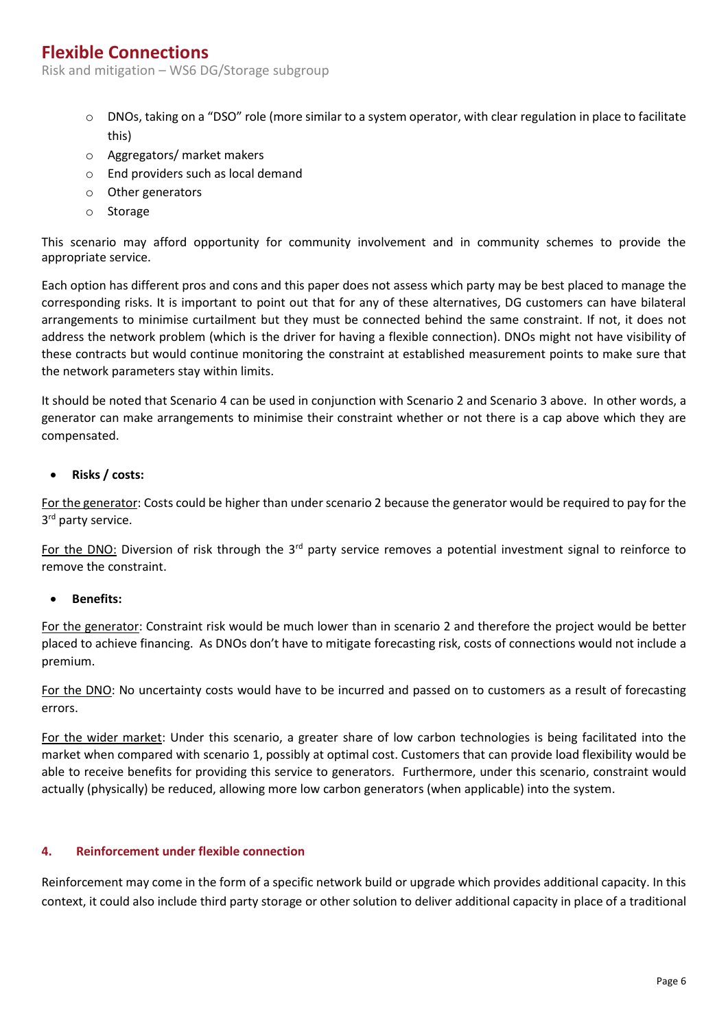Risk and mitigation – WS6 DG/Storage subgroup

- $\circ$  DNOs, taking on a "DSO" role (more similar to a system operator, with clear regulation in place to facilitate this)
- o Aggregators/ market makers
- o End providers such as local demand
- o Other generators
- o Storage

This scenario may afford opportunity for community involvement and in community schemes to provide the appropriate service.

Each option has different pros and cons and this paper does not assess which party may be best placed to manage the corresponding risks. It is important to point out that for any of these alternatives, DG customers can have bilateral arrangements to minimise curtailment but they must be connected behind the same constraint. If not, it does not address the network problem (which is the driver for having a flexible connection). DNOs might not have visibility of these contracts but would continue monitoring the constraint at established measurement points to make sure that the network parameters stay within limits.

It should be noted that Scenario 4 can be used in conjunction with Scenario 2 and Scenario 3 above. In other words, a generator can make arrangements to minimise their constraint whether or not there is a cap above which they are compensated.

**Risks / costs:** 

For the generator: Costs could be higher than under scenario 2 because the generator would be required to pay for the 3<sup>rd</sup> party service.

For the DNO: Diversion of risk through the  $3<sup>rd</sup>$  party service removes a potential investment signal to reinforce to remove the constraint.

**Benefits:**

For the generator: Constraint risk would be much lower than in scenario 2 and therefore the project would be better placed to achieve financing. As DNOs don't have to mitigate forecasting risk, costs of connections would not include a premium.

For the DNO: No uncertainty costs would have to be incurred and passed on to customers as a result of forecasting errors.

For the wider market: Under this scenario, a greater share of low carbon technologies is being facilitated into the market when compared with scenario 1, possibly at optimal cost. Customers that can provide load flexibility would be able to receive benefits for providing this service to generators. Furthermore, under this scenario, constraint would actually (physically) be reduced, allowing more low carbon generators (when applicable) into the system.

#### <span id="page-10-0"></span>**4. Reinforcement under flexible connection**

Reinforcement may come in the form of a specific network build or upgrade which provides additional capacity. In this context, it could also include third party storage or other solution to deliver additional capacity in place of a traditional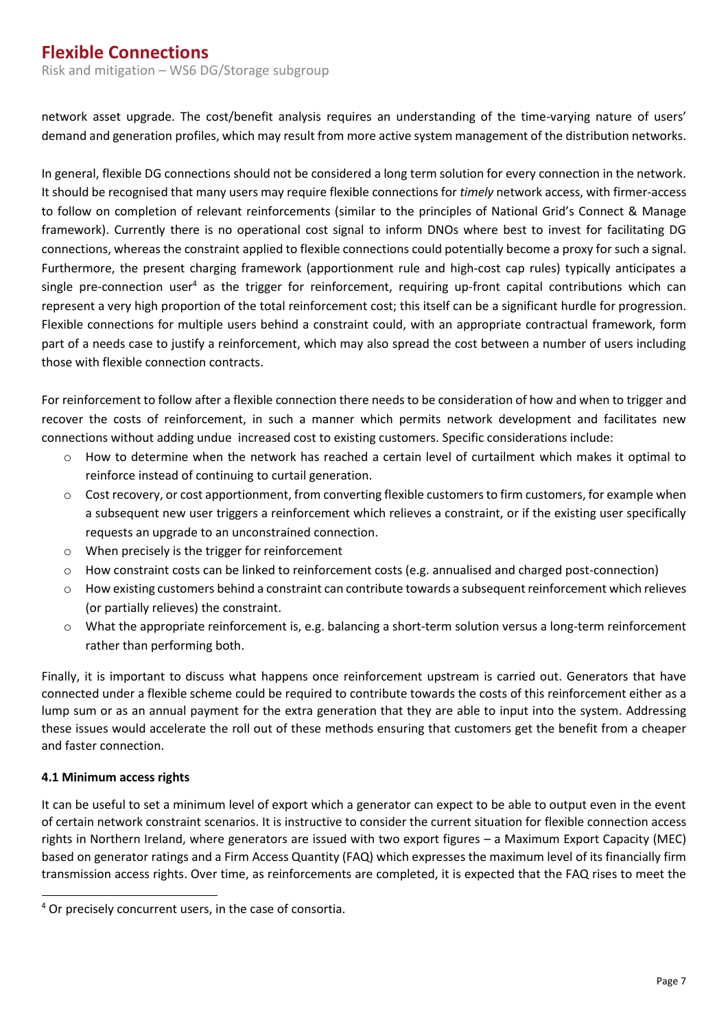Risk and mitigation – WS6 DG/Storage subgroup

network asset upgrade. The cost/benefit analysis requires an understanding of the time-varying nature of users' demand and generation profiles, which may result from more active system management of the distribution networks.

In general, flexible DG connections should not be considered a long term solution for every connection in the network. It should be recognised that many users may require flexible connections for *timely* network access, with firmer-access to follow on completion of relevant reinforcements (similar to the principles of National Grid's Connect & Manage framework). Currently there is no operational cost signal to inform DNOs where best to invest for facilitating DG connections, whereas the constraint applied to flexible connections could potentially become a proxy for such a signal. Furthermore, the present charging framework (apportionment rule and high-cost cap rules) typically anticipates a single pre-connection user<sup>4</sup> as the trigger for reinforcement, requiring up-front capital contributions which can represent a very high proportion of the total reinforcement cost; this itself can be a significant hurdle for progression. Flexible connections for multiple users behind a constraint could, with an appropriate contractual framework, form part of a needs case to justify a reinforcement, which may also spread the cost between a number of users including those with flexible connection contracts.

For reinforcement to follow after a flexible connection there needs to be consideration of how and when to trigger and recover the costs of reinforcement, in such a manner which permits network development and facilitates new connections without adding undue increased cost to existing customers. Specific considerations include:

- o How to determine when the network has reached a certain level of curtailment which makes it optimal to reinforce instead of continuing to curtail generation.
- $\circ$  Cost recovery, or cost apportionment, from converting flexible customers to firm customers, for example when a subsequent new user triggers a reinforcement which relieves a constraint, or if the existing user specifically requests an upgrade to an unconstrained connection.
- o When precisely is the trigger for reinforcement
- o How constraint costs can be linked to reinforcement costs (e.g. annualised and charged post-connection)
- o How existing customers behind a constraint can contribute towards a subsequent reinforcement which relieves (or partially relieves) the constraint.
- o What the appropriate reinforcement is, e.g. balancing a short-term solution versus a long-term reinforcement rather than performing both.

Finally, it is important to discuss what happens once reinforcement upstream is carried out. Generators that have connected under a flexible scheme could be required to contribute towards the costs of this reinforcement either as a lump sum or as an annual payment for the extra generation that they are able to input into the system. Addressing these issues would accelerate the roll out of these methods ensuring that customers get the benefit from a cheaper and faster connection.

#### <span id="page-11-0"></span>**4.1 Minimum access rights**

It can be useful to set a minimum level of export which a generator can expect to be able to output even in the event of certain network constraint scenarios. It is instructive to consider the current situation for flexible connection access rights in Northern Ireland, where generators are issued with two export figures – a Maximum Export Capacity (MEC) based on generator ratings and a Firm Access Quantity (FAQ) which expresses the maximum level of its financially firm transmission access rights. Over time, as reinforcements are completed, it is expected that the FAQ rises to meet the

 $\overline{a}$ <sup>4</sup> Or precisely concurrent users, in the case of consortia.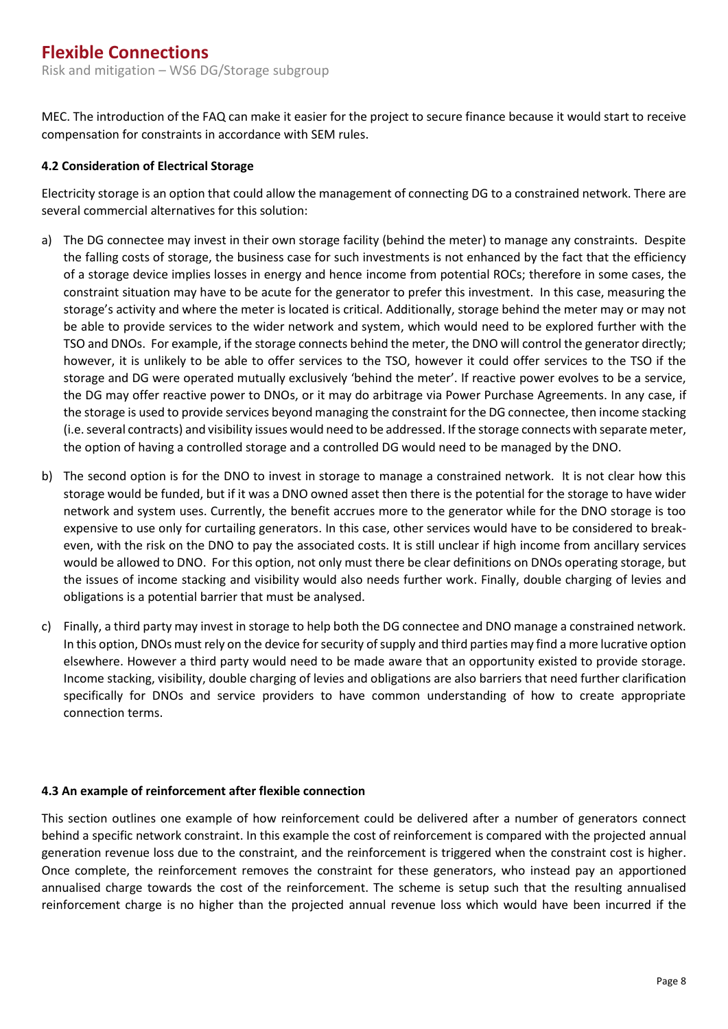Risk and mitigation – WS6 DG/Storage subgroup

MEC. The introduction of the FAQ can make it easier for the project to secure finance because it would start to receive compensation for constraints in accordance with SEM rules.

#### <span id="page-12-0"></span>**4.2 Consideration of Electrical Storage**

Electricity storage is an option that could allow the management of connecting DG to a constrained network. There are several commercial alternatives for this solution:

- a) The DG connectee may invest in their own storage facility (behind the meter) to manage any constraints. Despite the falling costs of storage, the business case for such investments is not enhanced by the fact that the efficiency of a storage device implies losses in energy and hence income from potential ROCs; therefore in some cases, the constraint situation may have to be acute for the generator to prefer this investment. In this case, measuring the storage's activity and where the meter is located is critical. Additionally, storage behind the meter may or may not be able to provide services to the wider network and system, which would need to be explored further with the TSO and DNOs. For example, if the storage connects behind the meter, the DNO will control the generator directly; however, it is unlikely to be able to offer services to the TSO, however it could offer services to the TSO if the storage and DG were operated mutually exclusively 'behind the meter'. If reactive power evolves to be a service, the DG may offer reactive power to DNOs, or it may do arbitrage via Power Purchase Agreements. In any case, if the storage is used to provide services beyond managing the constraint for the DG connectee, then income stacking (i.e. several contracts) and visibility issues would need to be addressed. If the storage connects with separate meter, the option of having a controlled storage and a controlled DG would need to be managed by the DNO.
- b) The second option is for the DNO to invest in storage to manage a constrained network. It is not clear how this storage would be funded, but if it was a DNO owned asset then there is the potential for the storage to have wider network and system uses. Currently, the benefit accrues more to the generator while for the DNO storage is too expensive to use only for curtailing generators. In this case, other services would have to be considered to breakeven, with the risk on the DNO to pay the associated costs. It is still unclear if high income from ancillary services would be allowed to DNO. For this option, not only must there be clear definitions on DNOs operating storage, but the issues of income stacking and visibility would also needs further work. Finally, double charging of levies and obligations is a potential barrier that must be analysed.
- c) Finally, a third party may invest in storage to help both the DG connectee and DNO manage a constrained network. In this option, DNOs must rely on the device for security of supply and third parties may find a more lucrative option elsewhere. However a third party would need to be made aware that an opportunity existed to provide storage. Income stacking, visibility, double charging of levies and obligations are also barriers that need further clarification specifically for DNOs and service providers to have common understanding of how to create appropriate connection terms.

#### <span id="page-12-1"></span>**4.3 An example of reinforcement after flexible connection**

This section outlines one example of how reinforcement could be delivered after a number of generators connect behind a specific network constraint. In this example the cost of reinforcement is compared with the projected annual generation revenue loss due to the constraint, and the reinforcement is triggered when the constraint cost is higher. Once complete, the reinforcement removes the constraint for these generators, who instead pay an apportioned annualised charge towards the cost of the reinforcement. The scheme is setup such that the resulting annualised reinforcement charge is no higher than the projected annual revenue loss which would have been incurred if the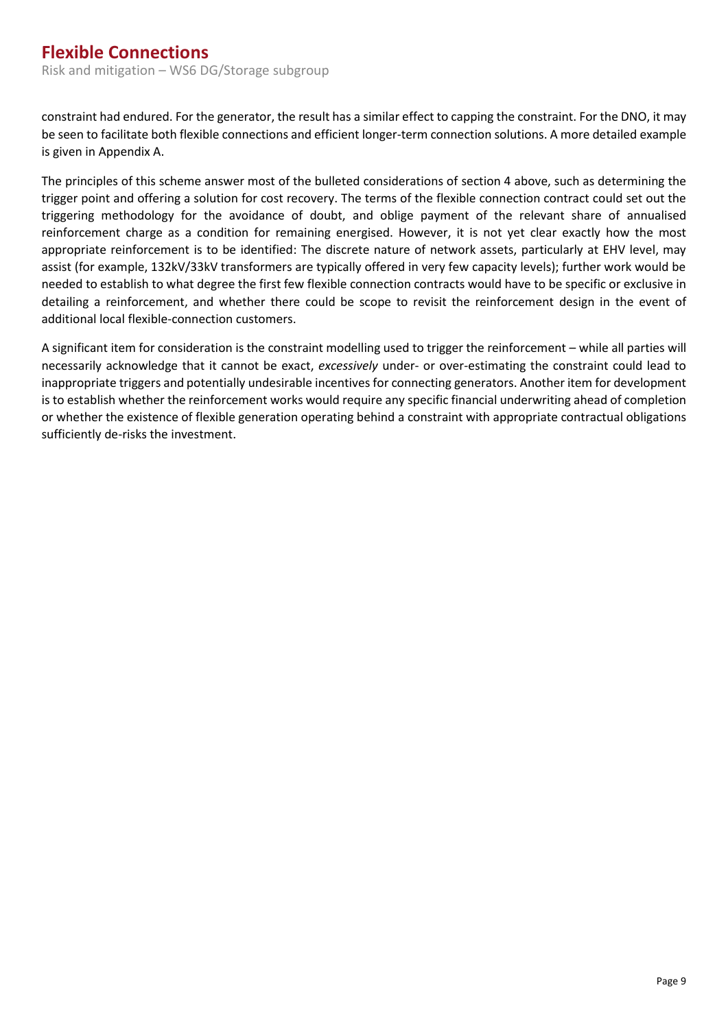constraint had endured. For the generator, the result has a similar effect to capping the constraint. For the DNO, it may be seen to facilitate both flexible connections and efficient longer-term connection solutions. A more detailed example is given in Appendix A.

The principles of this scheme answer most of the bulleted considerations of section 4 above, such as determining the trigger point and offering a solution for cost recovery. The terms of the flexible connection contract could set out the triggering methodology for the avoidance of doubt, and oblige payment of the relevant share of annualised reinforcement charge as a condition for remaining energised. However, it is not yet clear exactly how the most appropriate reinforcement is to be identified: The discrete nature of network assets, particularly at EHV level, may assist (for example, 132kV/33kV transformers are typically offered in very few capacity levels); further work would be needed to establish to what degree the first few flexible connection contracts would have to be specific or exclusive in detailing a reinforcement, and whether there could be scope to revisit the reinforcement design in the event of additional local flexible-connection customers.

A significant item for consideration is the constraint modelling used to trigger the reinforcement – while all parties will necessarily acknowledge that it cannot be exact, *excessively* under- or over-estimating the constraint could lead to inappropriate triggers and potentially undesirable incentives for connecting generators. Another item for development is to establish whether the reinforcement works would require any specific financial underwriting ahead of completion or whether the existence of flexible generation operating behind a constraint with appropriate contractual obligations sufficiently de-risks the investment.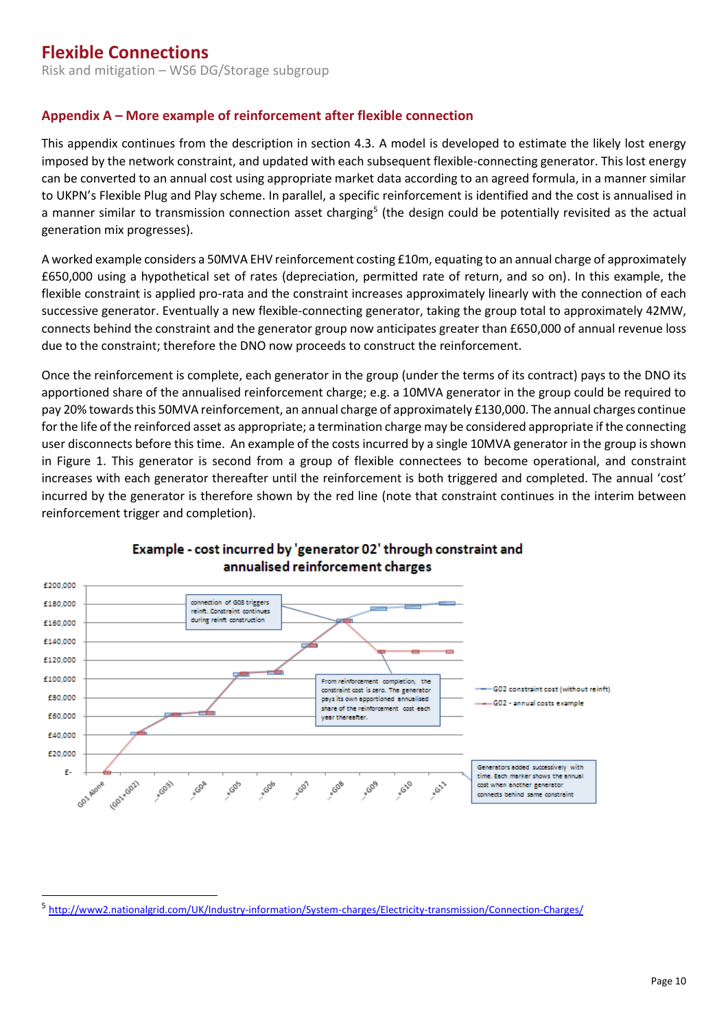### <span id="page-14-0"></span>**Appendix A – More example of reinforcement after flexible connection**

This appendix continues from the description in section 4.3. A model is developed to estimate the likely lost energy imposed by the network constraint, and updated with each subsequent flexible-connecting generator. This lost energy can be converted to an annual cost using appropriate market data according to an agreed formula, in a manner similar to UKPN's Flexible Plug and Play scheme. In parallel, a specific reinforcement is identified and the cost is annualised in a manner similar to transmission connection asset charging<sup>5</sup> (the design could be potentially revisited as the actual generation mix progresses).

A worked example considers a 50MVA EHV reinforcement costing £10m, equating to an annual charge of approximately £650,000 using a hypothetical set of rates (depreciation, permitted rate of return, and so on). In this example, the flexible constraint is applied pro-rata and the constraint increases approximately linearly with the connection of each successive generator. Eventually a new flexible-connecting generator, taking the group total to approximately 42MW, connects behind the constraint and the generator group now anticipates greater than £650,000 of annual revenue loss due to the constraint; therefore the DNO now proceeds to construct the reinforcement.

Once the reinforcement is complete, each generator in the group (under the terms of its contract) pays to the DNO its apportioned share of the annualised reinforcement charge; e.g. a 10MVA generator in the group could be required to pay 20% towards this 50MVA reinforcement, an annual charge of approximately £130,000. The annual charges continue for the life of the reinforced asset as appropriate; a termination charge may be considered appropriate if the connecting user disconnects before this time. An example of the costs incurred by a single 10MVA generator in the group is shown in Figure 1. This generator is second from a group of flexible connectees to become operational, and constraint increases with each generator thereafter until the reinforcement is both triggered and completed. The annual 'cost' incurred by the generator is therefore shown by the red line (note that constraint continues in the interim between reinforcement trigger and completion).



#### Example - cost incurred by 'generator 02' through constraint and annualised reinforcement charges

 $\overline{a}$ 

<sup>&</sup>lt;sup>5</sup> <http://www2.nationalgrid.com/UK/Industry-information/System-charges/Electricity-transmission/Connection-Charges/>